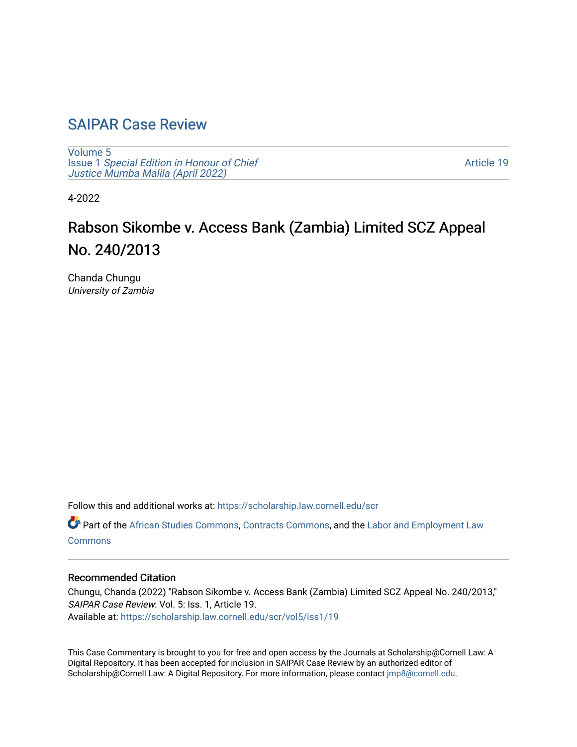## [SAIPAR Case Review](https://scholarship.law.cornell.edu/scr)

[Volume 5](https://scholarship.law.cornell.edu/scr/vol5) Issue 1 [Special Edition in Honour of Chief](https://scholarship.law.cornell.edu/scr/vol5/iss1) [Justice Mumba Malila \(April 2022\)](https://scholarship.law.cornell.edu/scr/vol5/iss1)

[Article 19](https://scholarship.law.cornell.edu/scr/vol5/iss1/19) 

4-2022

# Rabson Sikombe v. Access Bank (Zambia) Limited SCZ Appeal No. 240/2013

Chanda Chungu University of Zambia

Follow this and additional works at: [https://scholarship.law.cornell.edu/scr](https://scholarship.law.cornell.edu/scr?utm_source=scholarship.law.cornell.edu%2Fscr%2Fvol5%2Fiss1%2F19&utm_medium=PDF&utm_campaign=PDFCoverPages) 

Part of the [African Studies Commons,](https://network.bepress.com/hgg/discipline/1043?utm_source=scholarship.law.cornell.edu%2Fscr%2Fvol5%2Fiss1%2F19&utm_medium=PDF&utm_campaign=PDFCoverPages) [Contracts Commons,](https://network.bepress.com/hgg/discipline/591?utm_source=scholarship.law.cornell.edu%2Fscr%2Fvol5%2Fiss1%2F19&utm_medium=PDF&utm_campaign=PDFCoverPages) and the [Labor and Employment Law](https://network.bepress.com/hgg/discipline/909?utm_source=scholarship.law.cornell.edu%2Fscr%2Fvol5%2Fiss1%2F19&utm_medium=PDF&utm_campaign=PDFCoverPages) **[Commons](https://network.bepress.com/hgg/discipline/909?utm_source=scholarship.law.cornell.edu%2Fscr%2Fvol5%2Fiss1%2F19&utm_medium=PDF&utm_campaign=PDFCoverPages)** 

#### Recommended Citation

Chungu, Chanda (2022) "Rabson Sikombe v. Access Bank (Zambia) Limited SCZ Appeal No. 240/2013," SAIPAR Case Review: Vol. 5: Iss. 1, Article 19. Available at: [https://scholarship.law.cornell.edu/scr/vol5/iss1/19](https://scholarship.law.cornell.edu/scr/vol5/iss1/19?utm_source=scholarship.law.cornell.edu%2Fscr%2Fvol5%2Fiss1%2F19&utm_medium=PDF&utm_campaign=PDFCoverPages) 

This Case Commentary is brought to you for free and open access by the Journals at Scholarship@Cornell Law: A Digital Repository. It has been accepted for inclusion in SAIPAR Case Review by an authorized editor of Scholarship@Cornell Law: A Digital Repository. For more information, please contact [jmp8@cornell.edu](mailto:jmp8@cornell.edu).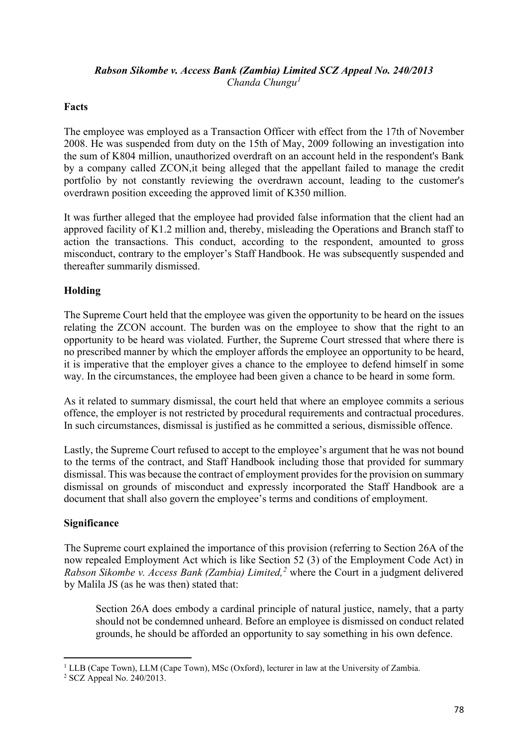### *Rabson Sikombe v. Access Bank (Zambia) Limited SCZ Appeal No. 240/2013 Chanda Chungu[1](#page-1-0)*

### **Facts**

The employee was employed as a Transaction Officer with effect from the 17th of November 2008. He was suspended from duty on the 15th of May, 2009 following an investigation into the sum of K804 million, unauthorized overdraft on an account held in the respondent's Bank by a company called ZCON,it being alleged that the appellant failed to manage the credit portfolio by not constantly reviewing the overdrawn account, leading to the customer's overdrawn position exceeding the approved limit of K350 million.

It was further alleged that the employee had provided false information that the client had an approved facility of K1.2 million and, thereby, misleading the Operations and Branch staff to action the transactions. This conduct, according to the respondent, amounted to gross misconduct, contrary to the employer's Staff Handbook. He was subsequently suspended and thereafter summarily dismissed.

#### **Holding**

The Supreme Court held that the employee was given the opportunity to be heard on the issues relating the ZCON account. The burden was on the employee to show that the right to an opportunity to be heard was violated. Further, the Supreme Court stressed that where there is no prescribed manner by which the employer affords the employee an opportunity to be heard, it is imperative that the employer gives a chance to the employee to defend himself in some way. In the circumstances, the employee had been given a chance to be heard in some form.

As it related to summary dismissal, the court held that where an employee commits a serious offence, the employer is not restricted by procedural requirements and contractual procedures. In such circumstances, dismissal is justified as he committed a serious, dismissible offence.

Lastly, the Supreme Court refused to accept to the employee's argument that he was not bound to the terms of the contract, and Staff Handbook including those that provided for summary dismissal. This was because the contract of employment provides for the provision on summary dismissal on grounds of misconduct and expressly incorporated the Staff Handbook are a document that shall also govern the employee's terms and conditions of employment.

### **Significance**

The Supreme court explained the importance of this provision (referring to Section 26A of the now repealed Employment Act which is like Section 52 (3) of the Employment Code Act) in *Rabson Sikombe v. Access Bank (Zambia) Limited,[2](#page-1-1)* where the Court in a judgment delivered by Malila JS (as he was then) stated that:

Section 26A does embody a cardinal principle of natural justice, namely, that a party should not be condemned unheard. Before an employee is dismissed on conduct related grounds, he should be afforded an opportunity to say something in his own defence.

<span id="page-1-0"></span><sup>&</sup>lt;sup>1</sup> LLB (Cape Town), LLM (Cape Town), MSc (Oxford), lecturer in law at the University of Zambia.

<span id="page-1-1"></span><sup>2</sup> SCZ Appeal No. 240/2013.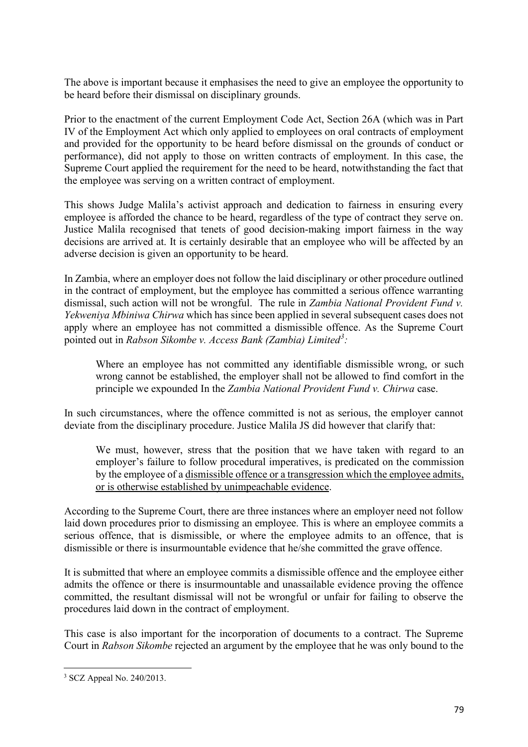The above is important because it emphasises the need to give an employee the opportunity to be heard before their dismissal on disciplinary grounds.

Prior to the enactment of the current Employment Code Act, Section 26A (which was in Part IV of the Employment Act which only applied to employees on oral contracts of employment and provided for the opportunity to be heard before dismissal on the grounds of conduct or performance), did not apply to those on written contracts of employment. In this case, the Supreme Court applied the requirement for the need to be heard, notwithstanding the fact that the employee was serving on a written contract of employment.

This shows Judge Malila's activist approach and dedication to fairness in ensuring every employee is afforded the chance to be heard, regardless of the type of contract they serve on. Justice Malila recognised that tenets of good decision-making import fairness in the way decisions are arrived at. It is certainly desirable that an employee who will be affected by an adverse decision is given an opportunity to be heard.

In Zambia, where an employer does not follow the laid disciplinary or other procedure outlined in the contract of employment, but the employee has committed a serious offence warranting dismissal, such action will not be wrongful. The rule in *Zambia National Provident Fund v. Yekweniya Mbiniwa Chirwa* which has since been applied in several subsequent cases does not apply where an employee has not committed a dismissible offence. As the Supreme Court pointed out in *Rabson Sikombe v. Access Bank (Zambia) Limited[3](#page-2-0) :* 

Where an employee has not committed any identifiable dismissible wrong, or such wrong cannot be established, the employer shall not be allowed to find comfort in the principle we expounded In the *Zambia National Provident Fund v. Chirwa* case.

In such circumstances, where the offence committed is not as serious, the employer cannot deviate from the disciplinary procedure. Justice Malila JS did however that clarify that:

We must, however, stress that the position that we have taken with regard to an employer's failure to follow procedural imperatives, is predicated on the commission by the employee of a dismissible offence or a transgression which the employee admits, or is otherwise established by unimpeachable evidence.

According to the Supreme Court, there are three instances where an employer need not follow laid down procedures prior to dismissing an employee. This is where an employee commits a serious offence, that is dismissible, or where the employee admits to an offence, that is dismissible or there is insurmountable evidence that he/she committed the grave offence.

It is submitted that where an employee commits a dismissible offence and the employee either admits the offence or there is insurmountable and unassailable evidence proving the offence committed, the resultant dismissal will not be wrongful or unfair for failing to observe the procedures laid down in the contract of employment.

This case is also important for the incorporation of documents to a contract. The Supreme Court in *Rabson Sikombe* rejected an argument by the employee that he was only bound to the

<span id="page-2-0"></span><sup>3</sup> SCZ Appeal No. 240/2013.